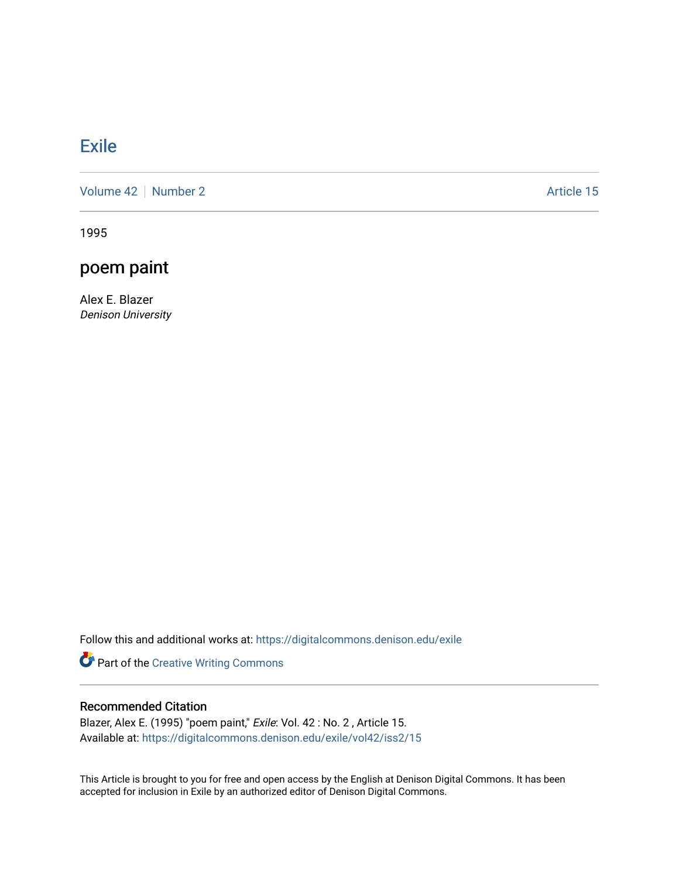## **[Exile](https://digitalcommons.denison.edu/exile)**

[Volume 42](https://digitalcommons.denison.edu/exile/vol42) | [Number 2](https://digitalcommons.denison.edu/exile/vol42/iss2) Article 15

1995

## poem paint

Alex E. Blazer Denison University

Follow this and additional works at: [https://digitalcommons.denison.edu/exile](https://digitalcommons.denison.edu/exile?utm_source=digitalcommons.denison.edu%2Fexile%2Fvol42%2Fiss2%2F15&utm_medium=PDF&utm_campaign=PDFCoverPages) 

Part of the [Creative Writing Commons](http://network.bepress.com/hgg/discipline/574?utm_source=digitalcommons.denison.edu%2Fexile%2Fvol42%2Fiss2%2F15&utm_medium=PDF&utm_campaign=PDFCoverPages) 

## Recommended Citation

Blazer, Alex E. (1995) "poem paint," Exile: Vol. 42 : No. 2, Article 15. Available at: [https://digitalcommons.denison.edu/exile/vol42/iss2/15](https://digitalcommons.denison.edu/exile/vol42/iss2/15?utm_source=digitalcommons.denison.edu%2Fexile%2Fvol42%2Fiss2%2F15&utm_medium=PDF&utm_campaign=PDFCoverPages)

This Article is brought to you for free and open access by the English at Denison Digital Commons. It has been accepted for inclusion in Exile by an authorized editor of Denison Digital Commons.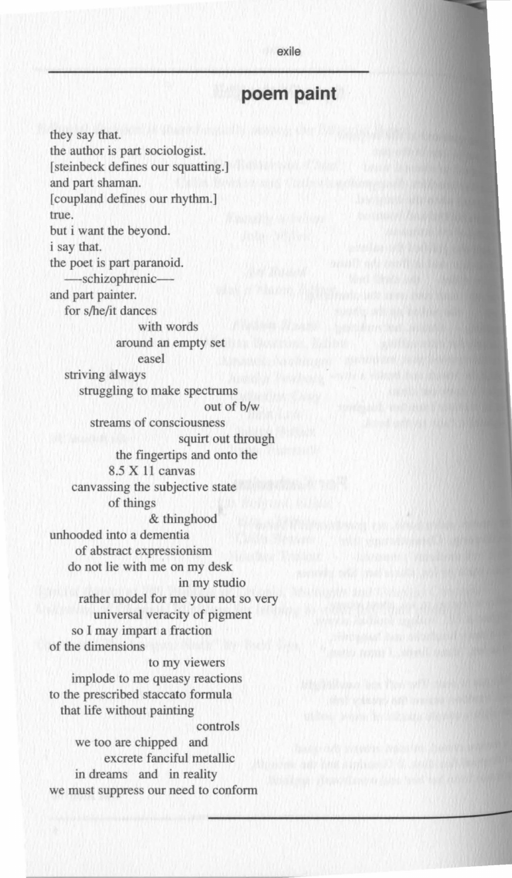exile

## **poem paint**

they say that. the author is part sociologist. [steinbeck defines our squatting.] and part shaman. [coupland defines our rhythm.] true. but i want the beyond. i say that. the poet is part paranoid. -schizophrenicand part painter. for s/he/it dances with words around an empty set easel striving always struggling to make spectrums out of b/w streams of consciousness squirt out through the fingertips and onto the 8.5 **X** I J canvas canvassing the subjective state of things & thinghood unhooded into a dementia of abstract expressionism do not lie with me on my desk in my studio rather model for me your not so very universal veracity of pigment so I may impart a fraction of the dimensions to my viewers implode to me queasy reactions to the prescribed staccato formula that life without painting controls we too are chipped and excrete fanciful metallic in dreams and in reality we must suppress our need to conform